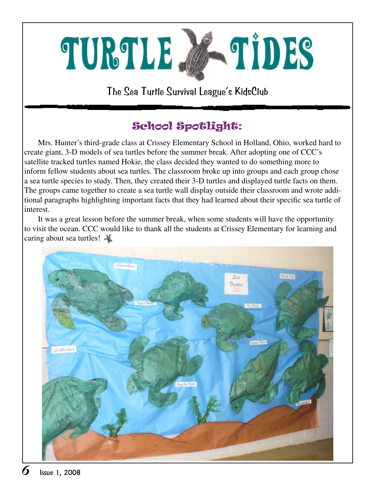

The Sea Turtle Survival League's KidsClub

## School Spotlight:

Mrs. Hunter's third-grade class at Crissey Elementary School in Holland, Ohio, worked hard to create giant, 3-D models of sea turtles before the summer break. After adopting one of CCC's satellite tracked turtles named Hokie, the class decided they wanted to do something more to inform fellow students about sea turtles. The classroom broke up into groups and each group chose a sea turtle species to study. Then, they created their 3-D turtles and displayed turtle facts on them. The groups came together to create a sea turtle wall display outside their classroom and wrote additional paragraphs highlighting important facts that they had learned about their specific sea turtle of interest.

It was a great lesson before the summer break, when some students will have the opportunity to visit the ocean. CCC would like to thank all the students at Crissey Elementary for learning and caring about sea turtles!